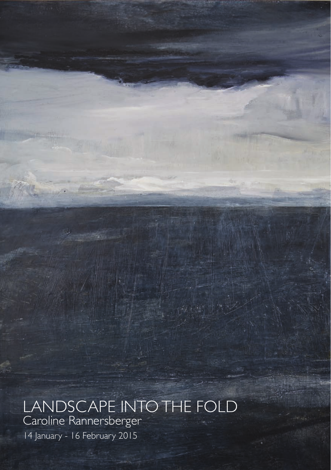## LANDSCAPE INTO THE FOLD Caroline Rannersberger

14 January - 16 February 2015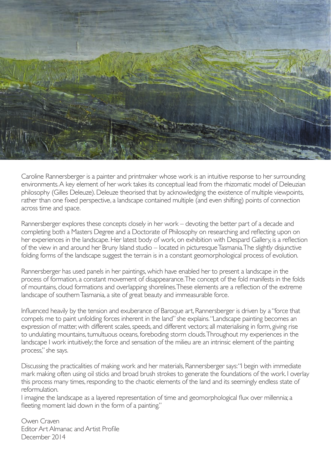

Caroline Rannersberger is a painter and printmaker whose work is an intuitive response to her surrounding environments. A key element of her work takes its conceptual lead from the rhizomatic model of Deleuzian philosophy (Gilles Deleuze). Deleuze theorised that by acknowledging the existence of multiple viewpoints, rather than one fixed perspective, a landscape contained multiple (and even shifting) points of connection across time and space.

Rannersberger explores these concepts closely in her work – devoting the better part of a decade and completing both a Masters Degree and a Doctorate of Philosophy on researching and reflecting upon on her experiences in the landscape. Her latest body of work, on exhibition with Despard Gallery, is a reflection of the view in and around her Bruny Island studio – located in picturesque Tasmania. The slightly disjunctive folding forms of the landscape suggest the terrain is in a constant geomorphological process of evolution.

Rannersberger has used panels in her paintings, which have enabled her to present a landscape in the process of formation, a constant movement of disappearance. The concept of the fold manifests in the folds of mountains, cloud formations and overlapping shorelines. These elements are a reflection of the extreme landscape of southern Tasmania, a site of great beauty and immeasurable force.

Influenced heavily by the tension and exuberance of Baroque art, Rannersberger is driven by a "force that compels me to paint unfolding forces inherent in the land" she explains. "Landscape painting becomes an expression of matter, with different scales, speeds, and different vectors; all materialising in form, giving rise to undulating mountains, tumultuous oceans, foreboding storm clouds. Throughout my experiences in the landscape I work intuitively; the force and sensation of the milieu are an intrinsic element of the painting process," she says.

Discussing the practicalities of making work and her materials, Rannersberger says: "I begin with immediate mark making often using oil sticks and broad brush strokes to generate the foundations of the work. I overlay this process many times, responding to the chaotic elements of the land and its seemingly endless state of reformulation.

I imagine the landscape as a layered representation of time and geomorphological flux over millennia; a fleeting moment laid down in the form of a painting."

Owen Craven Editor Art Almanac and Artist Profile December 2014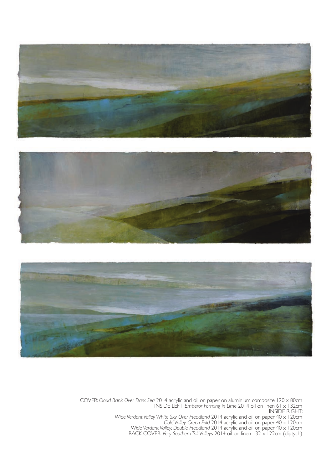





COVER: *Cloud Bank Over Dark Sea* 2014 acrylic and oil on paper on aluminium composite 120 x 80cm INSIDE LEFT: *Emperor Forming in Lime* 2014 oil on linen 61 x 132cm INSIDE RIGHT:

Wide Verdant Valley White Sky Over Headland 2014 acrylic and oil on paper 40 x 120cm<br>Gold Valley Green Fold 2014 acrylic and oil on paper 40 x 120cm<br>Wide Verdant Valley, Double Headland 2014 acrylic and oil on paper 40 x 1